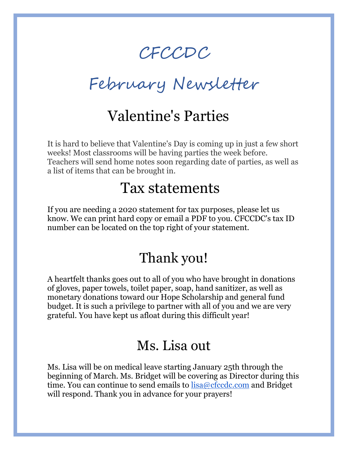# CFCCDC

February Newsletter

## Valentine's Parties

It is hard to believe that Valentine's Day is coming up in just a few short weeks! Most classrooms will be having parties the week before. Teachers will send home notes soon regarding date of parties, as well as a list of items that can be brought in.

#### Tax statements

If you are needing a 2020 statement for tax purposes, please let us know. We can print hard copy or email a PDF to you. CFCCDC's tax ID number can be located on the top right of your statement.

### Thank you!

A heartfelt thanks goes out to all of you who have brought in donations of gloves, paper towels, toilet paper, soap, hand sanitizer, as well as monetary donations toward our Hope Scholarship and general fund budget. It is such a privilege to partner with all of you and we are very grateful. You have kept us afloat during this difficult year!

#### Ms. Lisa out

Ms. Lisa will be on medical leave starting January 25th through the beginning of March. Ms. Bridget will be covering as Director during this time. You can continue to send emails to  $lisa@cfccdc.com$  and Bridget will respond. Thank you in advance for your prayers!